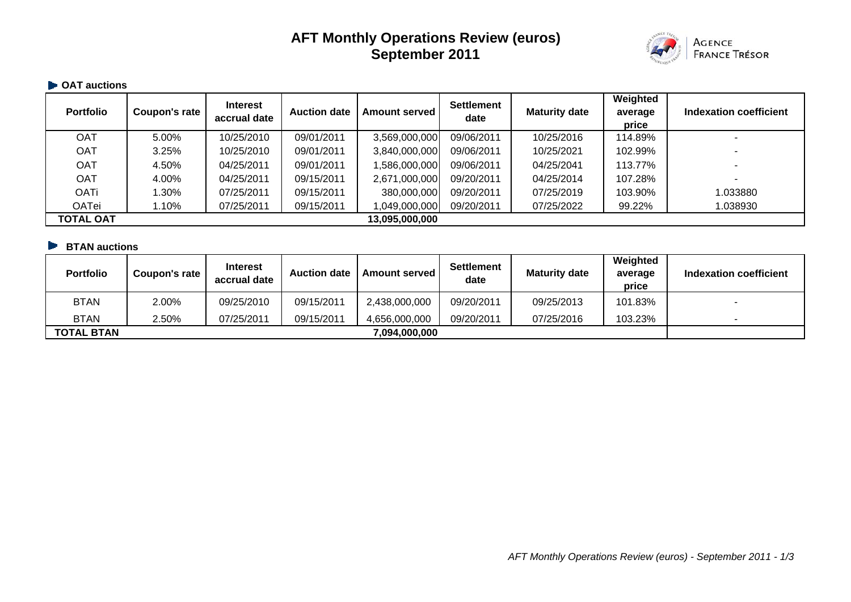# **AFT Monthly Operations Review (euros) September 2011**



#### **OAT auctions**

| <b>Portfolio</b> | Coupon's rate | Interest<br>accrual date | <b>Auction date</b> | <b>Amount served</b> | <b>Settlement</b><br>date | <b>Maturity date</b> | Weighted<br>average<br>price | Indexation coefficient |
|------------------|---------------|--------------------------|---------------------|----------------------|---------------------------|----------------------|------------------------------|------------------------|
| <b>OAT</b>       | 5.00%         | 10/25/2010               | 09/01/2011          | 3,569,000,000        | 09/06/2011                | 10/25/2016           | 114.89%                      |                        |
| <b>OAT</b>       | 3.25%         | 10/25/2010               | 09/01/2011          | 3,840,000,000        | 09/06/2011                | 10/25/2021           | 102.99%                      |                        |
| <b>OAT</b>       | 4.50%         | 04/25/2011               | 09/01/2011          | ,586,000,000         | 09/06/2011                | 04/25/2041           | 113.77%                      |                        |
| <b>OAT</b>       | 4.00%         | 04/25/2011               | 09/15/2011          | 2,671,000,000        | 09/20/2011                | 04/25/2014           | 107.28%                      |                        |
| <b>OATi</b>      | 1.30%         | 07/25/2011               | 09/15/2011          | 380,000,000          | 09/20/2011                | 07/25/2019           | 103.90%                      | 1.033880               |
| <b>OATei</b>     | 1.10%         | 07/25/2011               | 09/15/2011          | 1,049,000,000        | 09/20/2011                | 07/25/2022           | 99.22%                       | 1.038930               |
| TOTAL OAT        |               |                          |                     | 13,095,000,000       |                           |                      |                              |                        |

### **BTAN auctions**

| <b>Portfolio</b>  | Coupon's rate | <b>Interest</b><br>accrual date | <b>Auction date</b> | <b>Amount served I</b> | <b>Settlement</b><br>date | <b>Maturity date</b> | Weighted<br>average<br>price | Indexation coefficient |
|-------------------|---------------|---------------------------------|---------------------|------------------------|---------------------------|----------------------|------------------------------|------------------------|
| <b>BTAN</b>       | 2.00%         | 09/25/2010                      | 09/15/2011          | 2,438,000,000          | 09/20/2011                | 09/25/2013           | 101.83%                      |                        |
| <b>BTAN</b>       | 2.50%         | 07/25/2011                      | 09/15/2011          | 4,656,000,000          | 09/20/2011                | 07/25/2016           | 103.23%                      |                        |
| <b>TOTAL BTAN</b> |               |                                 |                     | ,094,000,000           |                           |                      |                              |                        |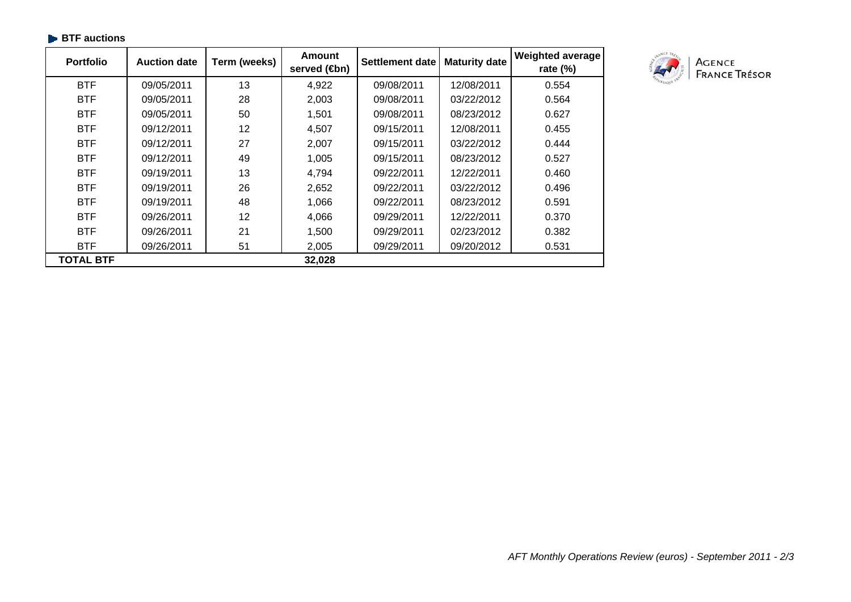| <b>Portfolio</b> | <b>Auction date</b> | Term (weeks) | <b>Amount</b><br>served ( <b>4</b> bn) | Settlement date | <b>Maturity date</b> | Weighted average<br>rate $(\%)$ |
|------------------|---------------------|--------------|----------------------------------------|-----------------|----------------------|---------------------------------|
| <b>BTF</b>       | 09/05/2011          | 13           | 4,922                                  | 09/08/2011      | 12/08/2011           | 0.554                           |
| <b>BTF</b>       | 09/05/2011          | 28           | 2,003                                  | 09/08/2011      | 03/22/2012           | 0.564                           |
| <b>BTF</b>       | 09/05/2011          | 50           | 1,501                                  | 09/08/2011      | 08/23/2012           | 0.627                           |
| <b>BTF</b>       | 09/12/2011          | 12           | 4,507                                  | 09/15/2011      | 12/08/2011           | 0.455                           |
| <b>BTF</b>       | 09/12/2011          | 27           | 2,007                                  | 09/15/2011      | 03/22/2012           | 0.444                           |
| <b>BTF</b>       | 09/12/2011          | 49           | 1,005                                  | 09/15/2011      | 08/23/2012           | 0.527                           |
| <b>BTF</b>       | 09/19/2011          | 13           | 4,794                                  | 09/22/2011      | 12/22/2011           | 0.460                           |
| <b>BTF</b>       | 09/19/2011          | 26           | 2,652                                  | 09/22/2011      | 03/22/2012           | 0.496                           |
| <b>BTF</b>       | 09/19/2011          | 48           | 1,066                                  | 09/22/2011      | 08/23/2012           | 0.591                           |
| <b>BTF</b>       | 09/26/2011          | 12           | 4,066                                  | 09/29/2011      | 12/22/2011           | 0.370                           |
| <b>BTF</b>       | 09/26/2011          | 21           | 1,500                                  | 09/29/2011      | 02/23/2012           | 0.382                           |
| <b>BTF</b>       | 09/26/2011          | 51           | 2,005                                  | 09/29/2011      | 09/20/2012           | 0.531                           |
| <b>TOTAL BTF</b> |                     |              | 32,028                                 |                 |                      |                                 |